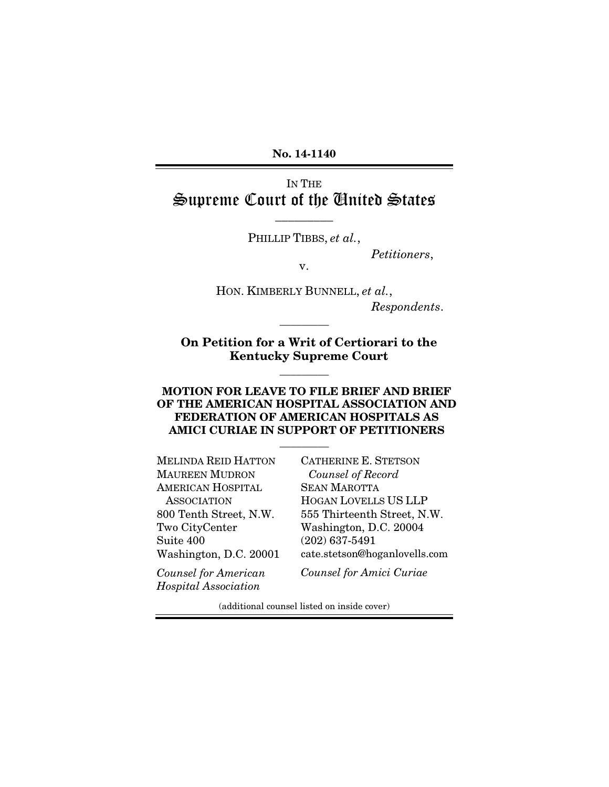No. 14-1140

IN THE Supreme Court of the United States

PHILLIP TIBBS, *et al.*,

 $\overline{\phantom{a}}$  , where  $\overline{\phantom{a}}$ 

*Petitioners*,

v.

HON. KIMBERLY BUNNELL, *et al.*, *Respondents*.

On Petition for a Writ of Certiorari to the Kentucky Supreme Court

 $\overline{\phantom{a}}$  ,  $\overline{\phantom{a}}$  ,  $\overline{\phantom{a}}$  ,  $\overline{\phantom{a}}$  ,  $\overline{\phantom{a}}$  ,  $\overline{\phantom{a}}$  ,  $\overline{\phantom{a}}$  ,  $\overline{\phantom{a}}$  ,  $\overline{\phantom{a}}$  ,  $\overline{\phantom{a}}$  ,  $\overline{\phantom{a}}$  ,  $\overline{\phantom{a}}$  ,  $\overline{\phantom{a}}$  ,  $\overline{\phantom{a}}$  ,  $\overline{\phantom{a}}$  ,  $\overline{\phantom{a}}$ 

 $\overline{\phantom{a}}$  ,  $\overline{\phantom{a}}$  ,  $\overline{\phantom{a}}$  ,  $\overline{\phantom{a}}$  ,  $\overline{\phantom{a}}$  ,  $\overline{\phantom{a}}$  ,  $\overline{\phantom{a}}$  ,  $\overline{\phantom{a}}$  ,  $\overline{\phantom{a}}$  ,  $\overline{\phantom{a}}$  ,  $\overline{\phantom{a}}$  ,  $\overline{\phantom{a}}$  ,  $\overline{\phantom{a}}$  ,  $\overline{\phantom{a}}$  ,  $\overline{\phantom{a}}$  ,  $\overline{\phantom{a}}$ 

#### MOTION FOR LEAVE TO FILE BRIEF AND BRIEF OF THE AMERICAN HOSPITAL ASSOCIATION AND FEDERATION OF AMERICAN HOSPITALS AS AMICI CURIAE IN SUPPORT OF PETITIONERS

 $\overline{\phantom{a}}$ 

MELINDA REID HATTON MAUREEN MUDRON AMERICAN HOSPITAL ASSOCIATION 800 Tenth Street, N.W. Two CityCenter Suite 400 Washington, D.C. 20001 CATHERINE E. STETSON *Counsel of Record* SEAN MAROTTA HOGAN LOVELLS US LLP 555 Thirteenth Street, N.W. Washington, D.C. 20004 (202) 637-5491 cate.stetson@hoganlovells.com

*Counsel for American Hospital Association*

*Counsel for Amici Curiae*

(additional counsel listed on inside cover)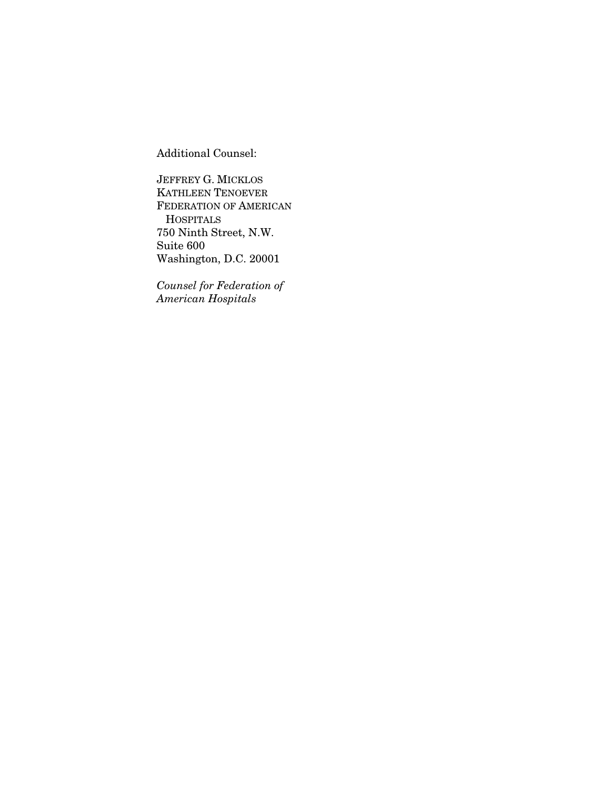Additional Counsel:

JEFFREY G. MICKLOS KATHLEEN TENOEVER FEDERATION OF AMERICAN **HOSPITALS** 750 Ninth Street, N.W. Suite 600 Washington, D.C. 20001

*Counsel for Federation of American Hospitals*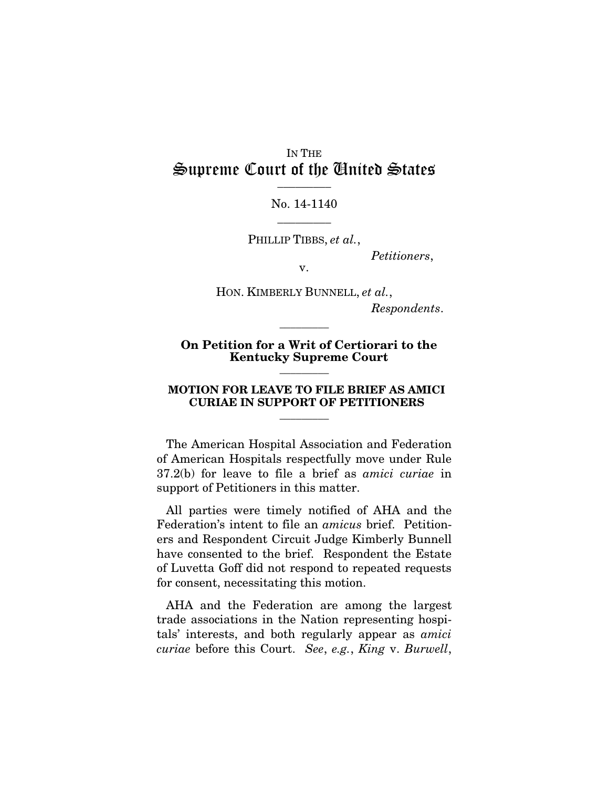### IN THE Supreme Court of the United States  $\frac{1}{2}$

No. 14-1140  $\overline{\phantom{a}}$  ,  $\overline{\phantom{a}}$ 

PHILLIP TIBBS, *et al.*,

*Petitioners*,

v.

HON. KIMBERLY BUNNELL, *et al.*, *Respondents*.

#### On Petition for a Writ of Certiorari to the Kentucky Supreme Court

 $\overline{\phantom{a}}$  ,  $\overline{\phantom{a}}$  ,  $\overline{\phantom{a}}$  ,  $\overline{\phantom{a}}$  ,  $\overline{\phantom{a}}$  ,  $\overline{\phantom{a}}$  ,  $\overline{\phantom{a}}$  ,  $\overline{\phantom{a}}$  ,  $\overline{\phantom{a}}$  ,  $\overline{\phantom{a}}$  ,  $\overline{\phantom{a}}$  ,  $\overline{\phantom{a}}$  ,  $\overline{\phantom{a}}$  ,  $\overline{\phantom{a}}$  ,  $\overline{\phantom{a}}$  ,  $\overline{\phantom{a}}$ 

#### MOTION FOR LEAVE TO FILE BRIEF AS AMICI CURIAE IN SUPPORT OF PETITIONERS

 $\overline{\phantom{a}}$ 

 $\overline{\phantom{a}}$ 

The American Hospital Association and Federation of American Hospitals respectfully move under Rule 37.2(b) for leave to file a brief as *amici curiae* in support of Petitioners in this matter.

All parties were timely notified of AHA and the Federation's intent to file an *amicus* brief. Petitioners and Respondent Circuit Judge Kimberly Bunnell have consented to the brief. Respondent the Estate of Luvetta Goff did not respond to repeated requests for consent, necessitating this motion.

AHA and the Federation are among the largest trade associations in the Nation representing hospitals' interests, and both regularly appear as *amici curiae* before this Court. *See*, *e.g.*, *King* v. *Burwell*,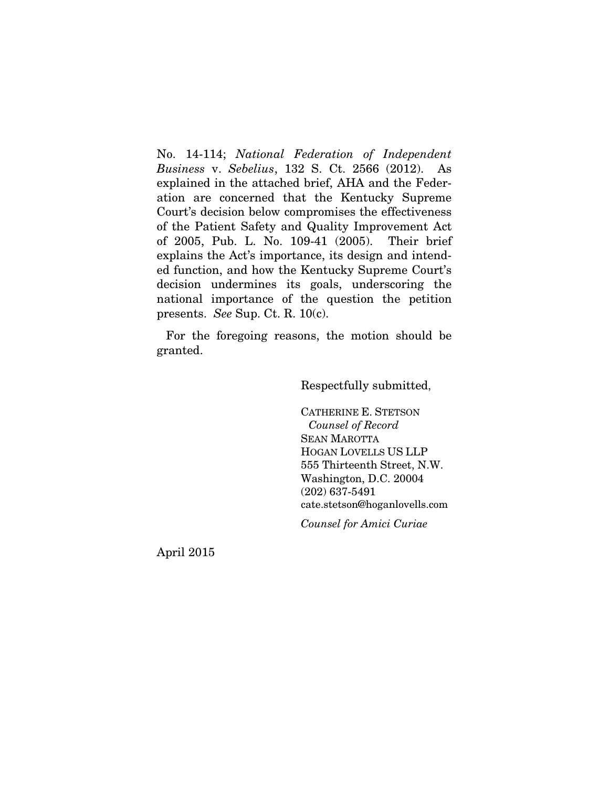No. 14-114; *National Federation of Independent Business* v. *Sebelius*, 132 S. Ct. 2566 (2012). As explained in the attached brief, AHA and the Federation are concerned that the Kentucky Supreme Court's decision below compromises the effectiveness of the Patient Safety and Quality Improvement Act of 2005, Pub. L. No. 109-41 (2005). Their brief explains the Act's importance, its design and intended function, and how the Kentucky Supreme Court's decision undermines its goals, underscoring the national importance of the question the petition presents. *See* Sup. Ct. R. 10(c).

For the foregoing reasons, the motion should be granted.

Respectfully submitted,

CATHERINE E. STETSON *Counsel of Record* SEAN MAROTTA HOGAN LOVELLS US LLP 555 Thirteenth Street, N.W. Washington, D.C. 20004 (202) 637-5491 cate.stetson@hoganlovells.com

*Counsel for Amici Curiae*

April 2015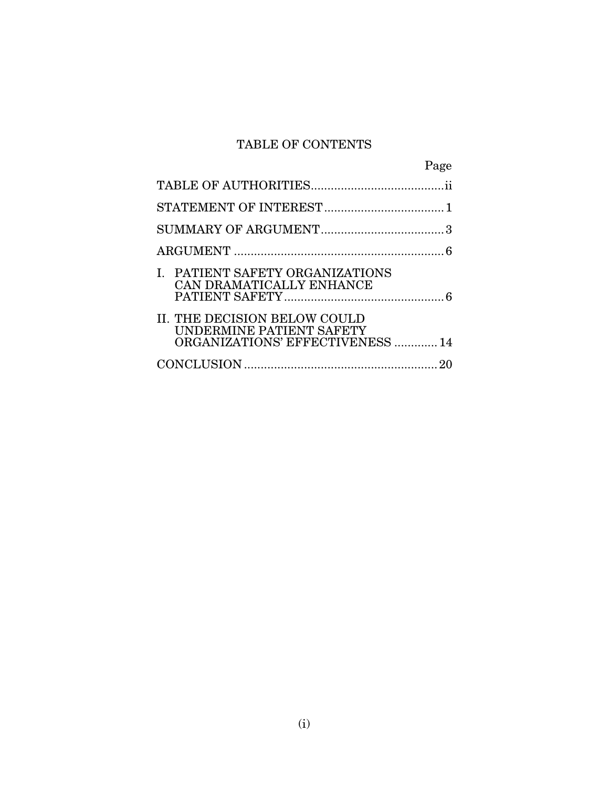# TABLE OF CONTENTS

|                                                                                              | Page |
|----------------------------------------------------------------------------------------------|------|
|                                                                                              |      |
|                                                                                              |      |
|                                                                                              |      |
|                                                                                              |      |
| I. PATIENT SAFETY ORGANIZATIONS<br>CAN DRAMATICALLY ENHANCE                                  |      |
| II. THE DECISION BELOW COULD<br>UNDERMINE PATIENT SAFETY<br>ORGANIZATIONS' EFFECTIVENESS  14 |      |
|                                                                                              |      |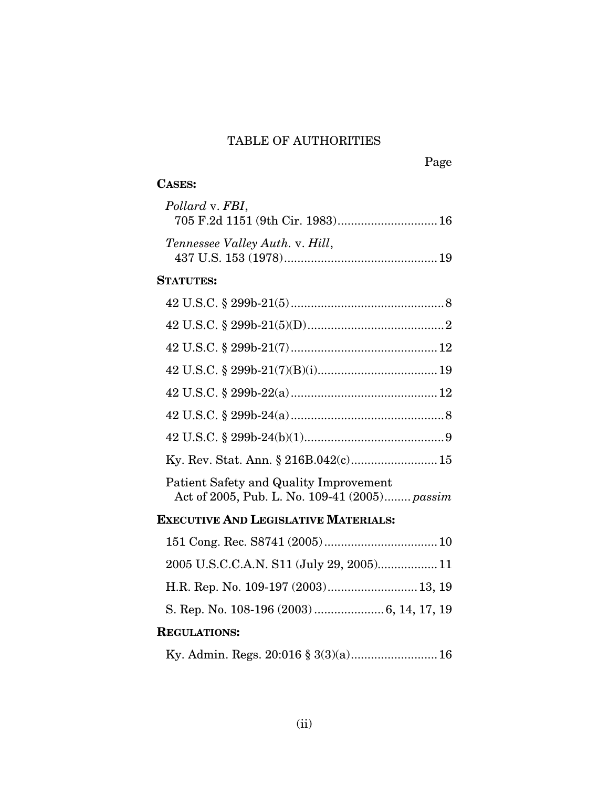## TABLE OF AUTHORITIES

# Page

## CASES:

| Pollard v. FBI,<br>705 F.2d 1151 (9th Cir. 1983) 16                                     |
|-----------------------------------------------------------------------------------------|
| Tennessee Valley Auth. v. Hill,                                                         |
| <b>STATUTES:</b>                                                                        |
|                                                                                         |
|                                                                                         |
|                                                                                         |
|                                                                                         |
|                                                                                         |
|                                                                                         |
|                                                                                         |
| Ky. Rev. Stat. Ann. § 216B.042(c) 15                                                    |
| Patient Safety and Quality Improvement<br>Act of 2005, Pub. L. No. 109-41 (2005) passim |
| <b>EXECUTIVE AND LEGISLATIVE MATERIALS:</b>                                             |
|                                                                                         |
|                                                                                         |

- H.R. Rep. No. 109-197 (2003)...........................13, 19
- S. Rep. No. 108-196 (2003) .....................6, 14, 17, 19

## REGULATIONS:

|--|--|--|--|--|--|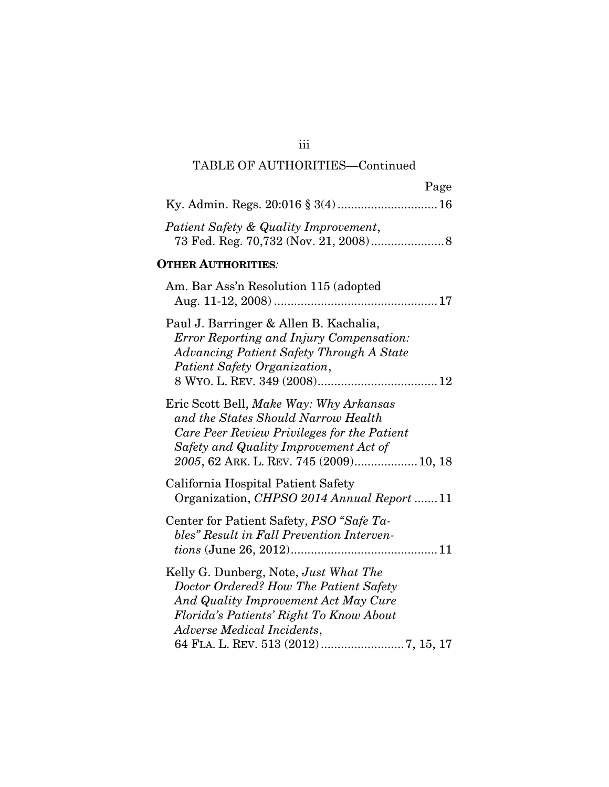# TABLE OF AUTHORITIES—Continued

| Page                                                                                                                                                                                                              |
|-------------------------------------------------------------------------------------------------------------------------------------------------------------------------------------------------------------------|
| Ky. Admin. Regs. 20:016 § 3(4) 16                                                                                                                                                                                 |
| Patient Safety & Quality Improvement,                                                                                                                                                                             |
| <b>OTHER AUTHORITIES:</b>                                                                                                                                                                                         |
| Am. Bar Ass'n Resolution 115 (adopted                                                                                                                                                                             |
| Paul J. Barringer & Allen B. Kachalia,<br><b>Error Reporting and Injury Compensation:</b><br><b>Advancing Patient Safety Through A State</b><br>Patient Safety Organization,                                      |
| Eric Scott Bell, Make Way: Why Arkansas<br>and the States Should Narrow Health<br>Care Peer Review Privileges for the Patient<br>Safety and Quality Improvement Act of<br>2005, 62 ARK. L. REV. 745 (2009) 10, 18 |
| California Hospital Patient Safety<br>Organization, CHPSO 2014 Annual Report 11                                                                                                                                   |
| Center for Patient Safety, <i>PSO</i> "Safe Ta-<br>bles" Result in Fall Prevention Interven-                                                                                                                      |
| Kelly G. Dunberg, Note, Just What The<br>Doctor Ordered? How The Patient Safety<br>And Quality Improvement Act May Cure<br>Florida's Patients' Right To Know About<br>Adverse Medical Incidents,                  |

iii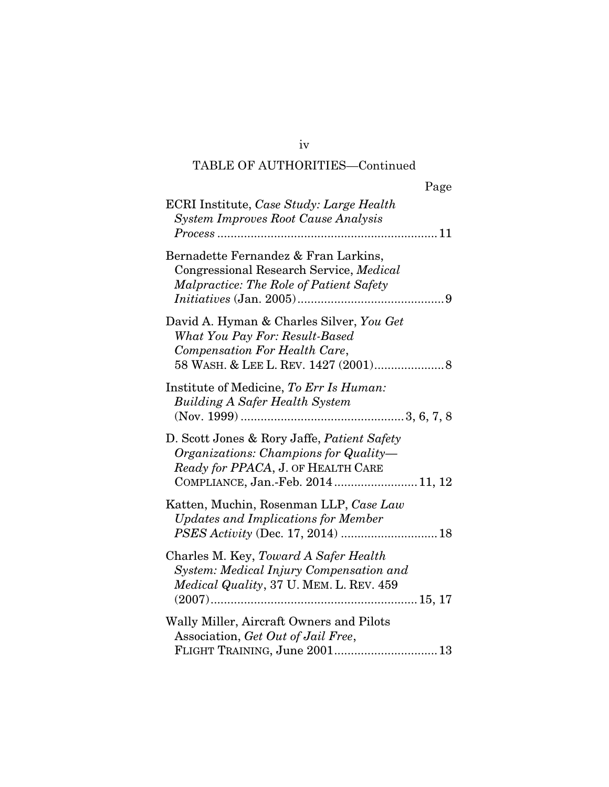# TABLE OF AUTHORITIES—Continued

| Page                                                                                                                                                            |
|-----------------------------------------------------------------------------------------------------------------------------------------------------------------|
| ECRI Institute, Case Study: Large Health<br><b>System Improves Root Cause Analysis</b>                                                                          |
| Bernadette Fernandez & Fran Larkins,<br>Congressional Research Service, Medical<br>Malpractice: The Role of Patient Safety                                      |
| David A. Hyman & Charles Silver, You Get<br>What You Pay For: Result-Based<br>Compensation For Health Care,<br>58 WASH. & LEE L. REV. 1427 (2001) 8             |
| Institute of Medicine, To Err Is Human:<br><b>Building A Safer Health System</b>                                                                                |
| D. Scott Jones & Rory Jaffe, Patient Safety<br>Organizations: Champions for Quality-<br>Ready for PPACA, J. OF HEALTH CARE<br>COMPLIANCE, Jan.-Feb. 2014 11, 12 |
| Katten, Muchin, Rosenman LLP, Case Law<br>Updates and Implications for Member                                                                                   |
| Charles M. Key, Toward A Safer Health<br>System: Medical Injury Compensation and<br>Medical Quality, 37 U. MEM. L. REV. 459                                     |
| Wally Miller, Aircraft Owners and Pilots<br>Association, Get Out of Jail Free,<br>FLIGHT TRAINING, June 2001 13                                                 |

iv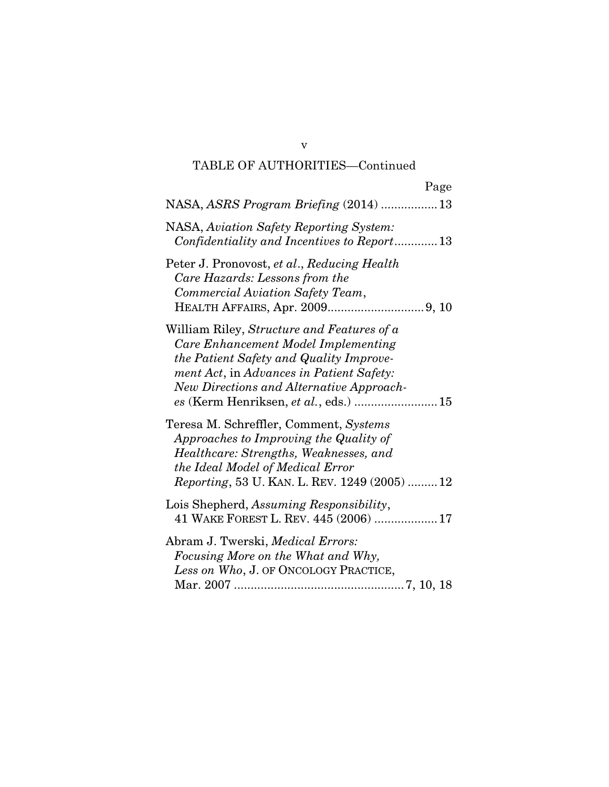# TABLE OF AUTHORITIES—Continued

| Page                                                                                                                                                                                                                                                          |
|---------------------------------------------------------------------------------------------------------------------------------------------------------------------------------------------------------------------------------------------------------------|
| NASA, ASRS Program Briefing (2014) 13                                                                                                                                                                                                                         |
| NASA, Aviation Safety Reporting System:<br>Confidentiality and Incentives to Report 13                                                                                                                                                                        |
| Peter J. Pronovost, et al., Reducing Health<br>Care Hazards: Lessons from the<br>Commercial Aviation Safety Team,                                                                                                                                             |
| William Riley, Structure and Features of a<br>Care Enhancement Model Implementing<br>the Patient Safety and Quality Improve-<br>ment Act, in Advances in Patient Safety:<br>New Directions and Alternative Approach-<br>es (Kerm Henriksen, et al., eds.)  15 |
| Teresa M. Schreffler, Comment, Systems<br>Approaches to Improving the Quality of<br>Healthcare: Strengths, Weaknesses, and<br>the Ideal Model of Medical Error<br>Reporting, 53 U. KAN. L. REV. 1249 (2005)  12                                               |
| Lois Shepherd, Assuming Responsibility,<br>41 WAKE FOREST L. REV. 445 (2006)  17                                                                                                                                                                              |
| Abram J. Twerski, <i>Medical Errors:</i><br>Focusing More on the What and Why,<br>Less on Who, J. OF ONCOLOGY PRACTICE,                                                                                                                                       |

v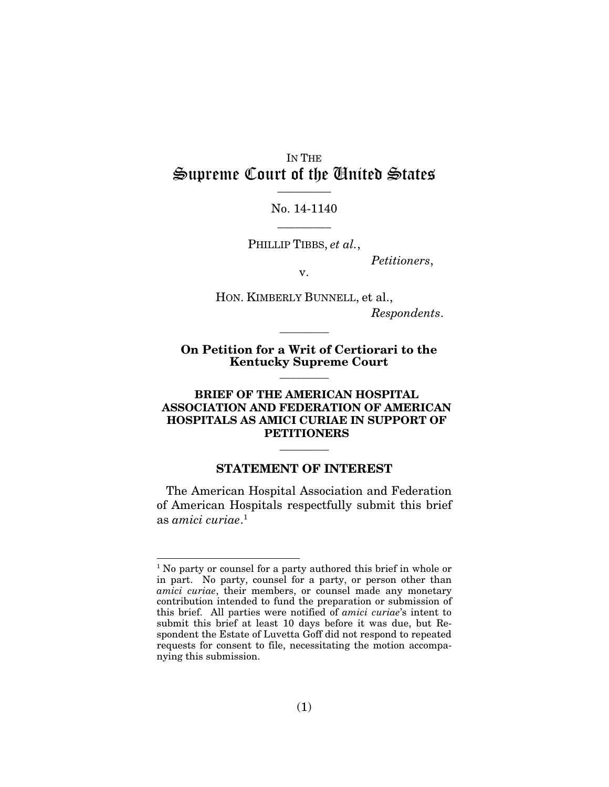### IN THE Supreme Court of the United States  $\frac{1}{2}$

### No. 14-1140  $\overline{\phantom{a}}$  ,  $\overline{\phantom{a}}$

PHILLIP TIBBS, *et al.*,

*Petitioners*,

v.

HON. KIMBERLY BUNNELL, et al., *Respondents*.

On Petition for a Writ of Certiorari to the Kentucky Supreme Court

 $\overline{\phantom{a}}$  ,  $\overline{\phantom{a}}$  ,  $\overline{\phantom{a}}$  ,  $\overline{\phantom{a}}$  ,  $\overline{\phantom{a}}$  ,  $\overline{\phantom{a}}$  ,  $\overline{\phantom{a}}$  ,  $\overline{\phantom{a}}$  ,  $\overline{\phantom{a}}$  ,  $\overline{\phantom{a}}$  ,  $\overline{\phantom{a}}$  ,  $\overline{\phantom{a}}$  ,  $\overline{\phantom{a}}$  ,  $\overline{\phantom{a}}$  ,  $\overline{\phantom{a}}$  ,  $\overline{\phantom{a}}$ 

 $\overline{\phantom{a}}$ 

#### BRIEF OF THE AMERICAN HOSPITAL ASSOCIATION AND FEDERATION OF AMERICAN HOSPITALS AS AMICI CURIAE IN SUPPORT OF **PETITIONERS**

#### STATEMENT OF INTEREST

 $\overline{\phantom{a}}$ 

The American Hospital Association and Federation of American Hospitals respectfully submit this brief as *amici curiae*. 1

<sup>&</sup>lt;sup>1</sup> No party or counsel for a party authored this brief in whole or in part. No party, counsel for a party, or person other than *amici curiae*, their members, or counsel made any monetary contribution intended to fund the preparation or submission of this brief. All parties were notified of *amici curiae*'s intent to submit this brief at least 10 days before it was due, but Respondent the Estate of Luvetta Goff did not respond to repeated requests for consent to file, necessitating the motion accompanying this submission.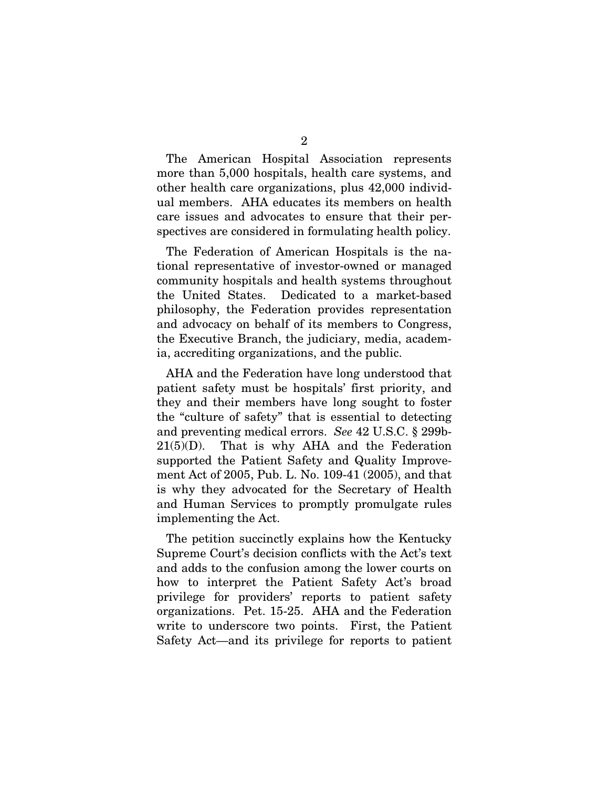The American Hospital Association represents more than 5,000 hospitals, health care systems, and other health care organizations, plus 42,000 individual members. AHA educates its members on health care issues and advocates to ensure that their perspectives are considered in formulating health policy.

The Federation of American Hospitals is the national representative of investor-owned or managed community hospitals and health systems throughout the United States. Dedicated to a market-based philosophy, the Federation provides representation and advocacy on behalf of its members to Congress, the Executive Branch, the judiciary, media, academia, accrediting organizations, and the public.

AHA and the Federation have long understood that patient safety must be hospitals' first priority, and they and their members have long sought to foster the "culture of safety" that is essential to detecting and preventing medical errors. *See* 42 U.S.C. § 299b- $21(5)(D)$ . That is why AHA and the Federation supported the Patient Safety and Quality Improvement Act of 2005, Pub. L. No. 109-41 (2005), and that is why they advocated for the Secretary of Health and Human Services to promptly promulgate rules implementing the Act.

The petition succinctly explains how the Kentucky Supreme Court's decision conflicts with the Act's text and adds to the confusion among the lower courts on how to interpret the Patient Safety Act's broad privilege for providers' reports to patient safety organizations. Pet. 15-25. AHA and the Federation write to underscore two points. First, the Patient Safety Act—and its privilege for reports to patient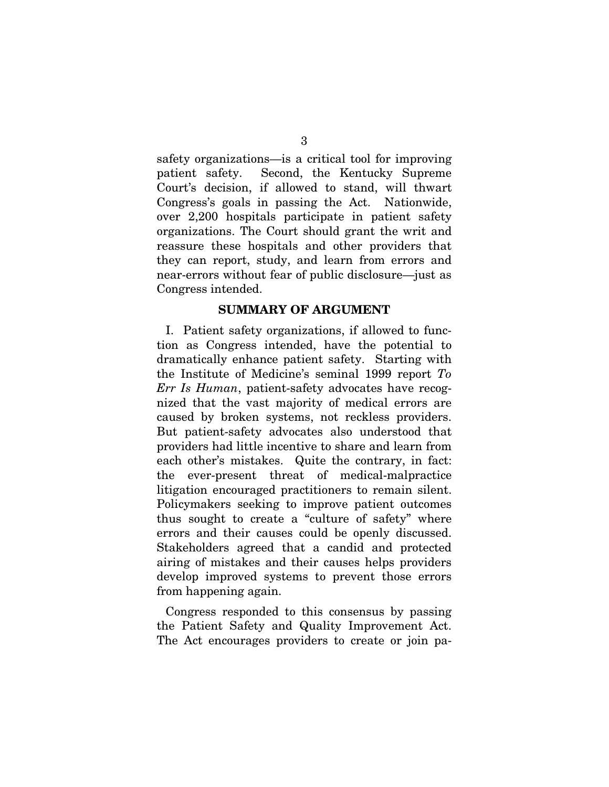safety organizations—is a critical tool for improving patient safety. Second, the Kentucky Supreme Court's decision, if allowed to stand, will thwart Congress's goals in passing the Act. Nationwide, over 2,200 hospitals participate in patient safety organizations. The Court should grant the writ and reassure these hospitals and other providers that they can report, study, and learn from errors and near-errors without fear of public disclosure—just as Congress intended.

#### SUMMARY OF ARGUMENT

I. Patient safety organizations, if allowed to function as Congress intended, have the potential to dramatically enhance patient safety. Starting with the Institute of Medicine's seminal 1999 report *To Err Is Human*, patient-safety advocates have recognized that the vast majority of medical errors are caused by broken systems, not reckless providers. But patient-safety advocates also understood that providers had little incentive to share and learn from each other's mistakes. Quite the contrary, in fact: the ever-present threat of medical-malpractice litigation encouraged practitioners to remain silent. Policymakers seeking to improve patient outcomes thus sought to create a "culture of safety" where errors and their causes could be openly discussed. Stakeholders agreed that a candid and protected airing of mistakes and their causes helps providers develop improved systems to prevent those errors from happening again.

Congress responded to this consensus by passing the Patient Safety and Quality Improvement Act. The Act encourages providers to create or join pa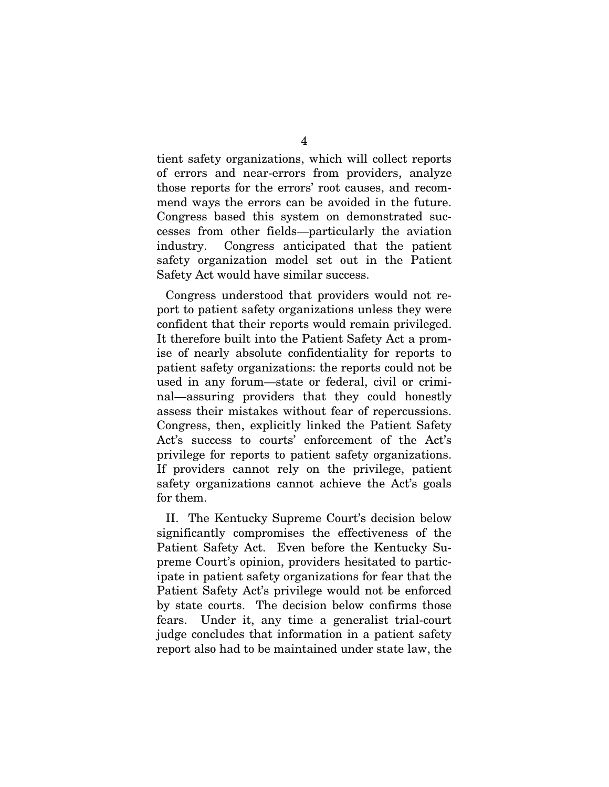tient safety organizations, which will collect reports of errors and near-errors from providers, analyze those reports for the errors' root causes, and recommend ways the errors can be avoided in the future. Congress based this system on demonstrated successes from other fields—particularly the aviation industry. Congress anticipated that the patient safety organization model set out in the Patient Safety Act would have similar success.

Congress understood that providers would not report to patient safety organizations unless they were confident that their reports would remain privileged. It therefore built into the Patient Safety Act a promise of nearly absolute confidentiality for reports to patient safety organizations: the reports could not be used in any forum—state or federal, civil or criminal—assuring providers that they could honestly assess their mistakes without fear of repercussions. Congress, then, explicitly linked the Patient Safety Act's success to courts' enforcement of the Act's privilege for reports to patient safety organizations. If providers cannot rely on the privilege, patient safety organizations cannot achieve the Act's goals for them.

II. The Kentucky Supreme Court's decision below significantly compromises the effectiveness of the Patient Safety Act. Even before the Kentucky Supreme Court's opinion, providers hesitated to participate in patient safety organizations for fear that the Patient Safety Act's privilege would not be enforced by state courts. The decision below confirms those fears. Under it, any time a generalist trial-court judge concludes that information in a patient safety report also had to be maintained under state law, the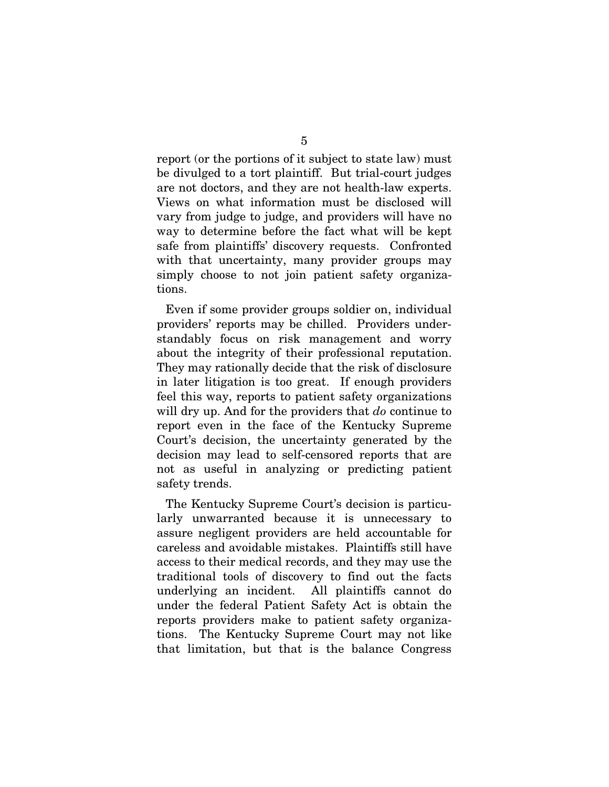report (or the portions of it subject to state law) must be divulged to a tort plaintiff. But trial-court judges are not doctors, and they are not health-law experts. Views on what information must be disclosed will vary from judge to judge, and providers will have no way to determine before the fact what will be kept safe from plaintiffs' discovery requests. Confronted with that uncertainty, many provider groups may simply choose to not join patient safety organizations.

Even if some provider groups soldier on, individual providers' reports may be chilled. Providers understandably focus on risk management and worry about the integrity of their professional reputation. They may rationally decide that the risk of disclosure in later litigation is too great. If enough providers feel this way, reports to patient safety organizations will dry up. And for the providers that *do* continue to report even in the face of the Kentucky Supreme Court's decision, the uncertainty generated by the decision may lead to self-censored reports that are not as useful in analyzing or predicting patient safety trends.

The Kentucky Supreme Court's decision is particularly unwarranted because it is unnecessary to assure negligent providers are held accountable for careless and avoidable mistakes. Plaintiffs still have access to their medical records, and they may use the traditional tools of discovery to find out the facts underlying an incident. All plaintiffs cannot do under the federal Patient Safety Act is obtain the reports providers make to patient safety organizations. The Kentucky Supreme Court may not like that limitation, but that is the balance Congress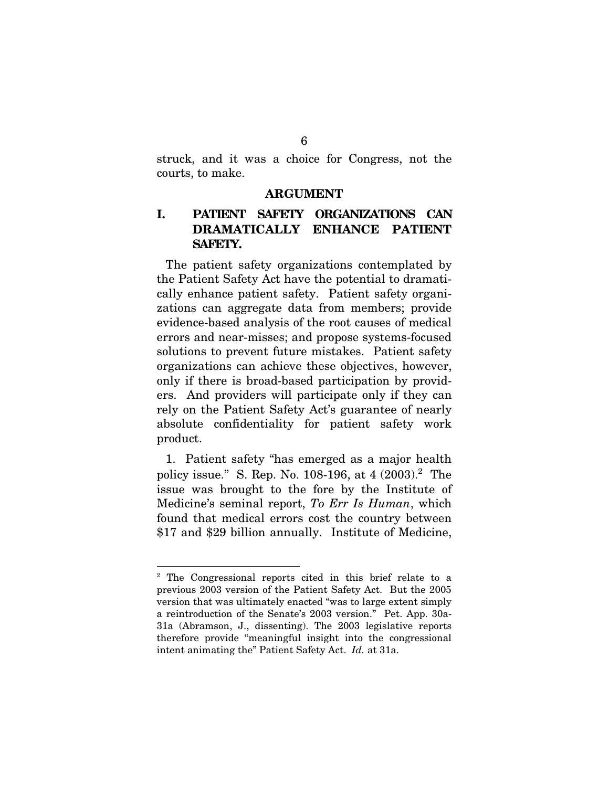struck, and it was a choice for Congress, not the courts, to make.

#### ARGUMENT

### I. PATIENT SAFETY ORGANIZATIONS CAN DRAMATICALLY ENHANCE PATIENT SAFETY.

The patient safety organizations contemplated by the Patient Safety Act have the potential to dramatically enhance patient safety. Patient safety organizations can aggregate data from members; provide evidence-based analysis of the root causes of medical errors and near-misses; and propose systems-focused solutions to prevent future mistakes. Patient safety organizations can achieve these objectives, however, only if there is broad-based participation by providers. And providers will participate only if they can rely on the Patient Safety Act's guarantee of nearly absolute confidentiality for patient safety work product.

1. Patient safety "has emerged as a major health policy issue." S. Rep. No. 108-196, at 4 (2003).<sup>2</sup> The issue was brought to the fore by the Institute of Medicine's seminal report, *To Err Is Human*, which found that medical errors cost the country between \$17 and \$29 billion annually. Institute of Medicine,

<sup>2</sup> The Congressional reports cited in this brief relate to a previous 2003 version of the Patient Safety Act. But the 2005 version that was ultimately enacted "was to large extent simply a reintroduction of the Senate's 2003 version." Pet. App. 30a-31a (Abramson, J., dissenting). The 2003 legislative reports therefore provide "meaningful insight into the congressional intent animating the" Patient Safety Act. *Id.* at 31a.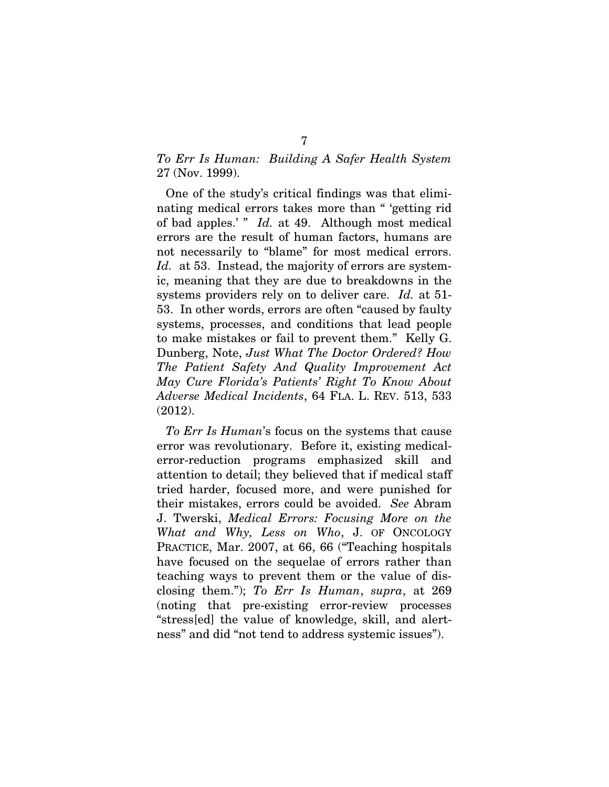### *To Err Is Human: Building A Safer Health System* 27 (Nov. 1999).

One of the study's critical findings was that eliminating medical errors takes more than " 'getting rid of bad apples.' " *Id.* at 49. Although most medical errors are the result of human factors, humans are not necessarily to "blame" for most medical errors. Id. at 53. Instead, the majority of errors are systemic, meaning that they are due to breakdowns in the systems providers rely on to deliver care. *Id.* at 51- 53. In other words, errors are often "caused by faulty systems, processes, and conditions that lead people to make mistakes or fail to prevent them." Kelly G. Dunberg, Note, *Just What The Doctor Ordered? How The Patient Safety And Quality Improvement Act May Cure Florida's Patients' Right To Know About Adverse Medical Incidents*, 64 FLA. L. REV. 513, 533 (2012).

*To Err Is Human*'s focus on the systems that cause error was revolutionary. Before it, existing medicalerror-reduction programs emphasized skill and attention to detail; they believed that if medical staff tried harder, focused more, and were punished for their mistakes, errors could be avoided. *See* Abram J. Twerski, *Medical Errors: Focusing More on the What and Why, Less on Who*, J. OF ONCOLOGY PRACTICE, Mar. 2007, at 66, 66 ("Teaching hospitals have focused on the sequelae of errors rather than teaching ways to prevent them or the value of disclosing them."); *To Err Is Human*, *supra*, at 269 (noting that pre-existing error-review processes "stress[ed] the value of knowledge, skill, and alertness" and did "not tend to address systemic issues").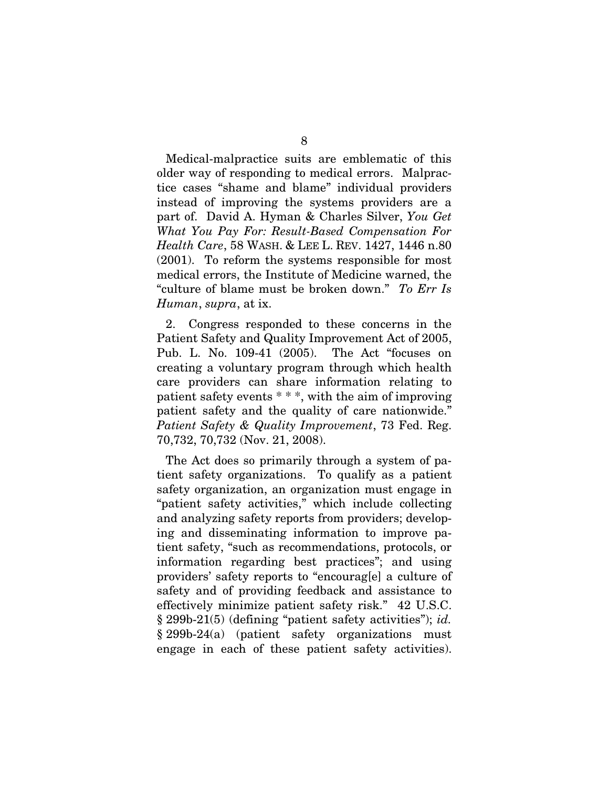Medical-malpractice suits are emblematic of this older way of responding to medical errors. Malpractice cases "shame and blame" individual providers instead of improving the systems providers are a part of. David A. Hyman & Charles Silver, *You Get What You Pay For: Result-Based Compensation For Health Care*, 58 WASH. & LEE L. REV. 1427, 1446 n.80 (2001). To reform the systems responsible for most medical errors, the Institute of Medicine warned, the "culture of blame must be broken down." *To Err Is Human*, *supra*, at ix.

2. Congress responded to these concerns in the Patient Safety and Quality Improvement Act of 2005, Pub. L. No. 109-41 (2005). The Act "focuses on creating a voluntary program through which health care providers can share information relating to patient safety events \* \* \*, with the aim of improving patient safety and the quality of care nationwide." *Patient Safety & Quality Improvement*, 73 Fed. Reg. 70,732, 70,732 (Nov. 21, 2008).

The Act does so primarily through a system of patient safety organizations. To qualify as a patient safety organization, an organization must engage in "patient safety activities," which include collecting and analyzing safety reports from providers; developing and disseminating information to improve patient safety, "such as recommendations, protocols, or information regarding best practices"; and using providers' safety reports to "encourag[e] a culture of safety and of providing feedback and assistance to effectively minimize patient safety risk." 42 U.S.C. § 299b-21(5) (defining "patient safety activities"); *id.* § 299b-24(a) (patient safety organizations must engage in each of these patient safety activities).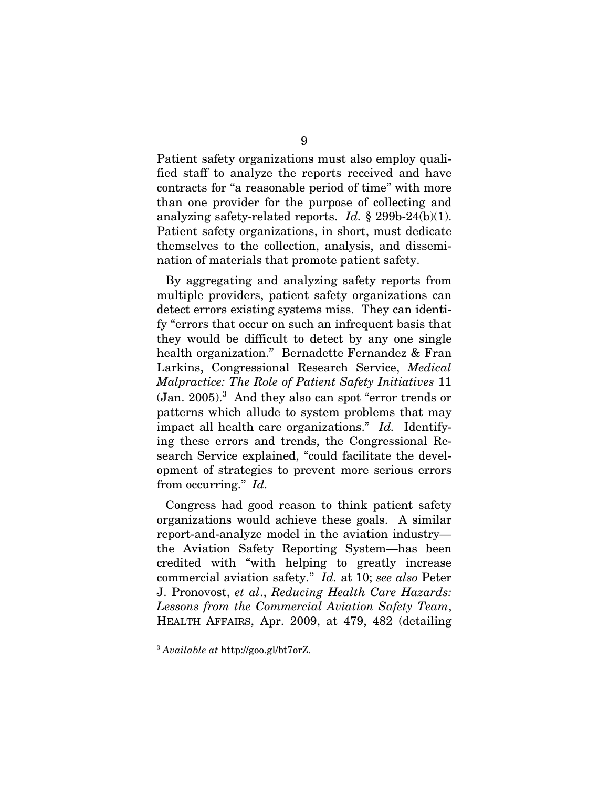Patient safety organizations must also employ qualified staff to analyze the reports received and have contracts for "a reasonable period of time" with more than one provider for the purpose of collecting and analyzing safety-related reports. *Id.* § 299b-24(b)(1). Patient safety organizations, in short, must dedicate themselves to the collection, analysis, and dissemination of materials that promote patient safety.

By aggregating and analyzing safety reports from multiple providers, patient safety organizations can detect errors existing systems miss. They can identify "errors that occur on such an infrequent basis that they would be difficult to detect by any one single health organization." Bernadette Fernandez & Fran Larkins, Congressional Research Service, *Medical Malpractice: The Role of Patient Safety Initiatives* 11  $(Jan. 2005).$ <sup>3</sup> And they also can spot "error trends or patterns which allude to system problems that may impact all health care organizations." *Id.* Identifying these errors and trends, the Congressional Research Service explained, "could facilitate the development of strategies to prevent more serious errors from occurring." *Id.*

Congress had good reason to think patient safety organizations would achieve these goals. A similar report-and-analyze model in the aviation industry the Aviation Safety Reporting System—has been credited with "with helping to greatly increase commercial aviation safety." *Id.* at 10; *see also* Peter J. Pronovost, *et al*., *Reducing Health Care Hazards: Lessons from the Commercial Aviation Safety Team*, HEALTH AFFAIRS, Apr. 2009, at 479, 482 (detailing

<sup>3</sup> *Available at* http://goo.gl/bt7orZ.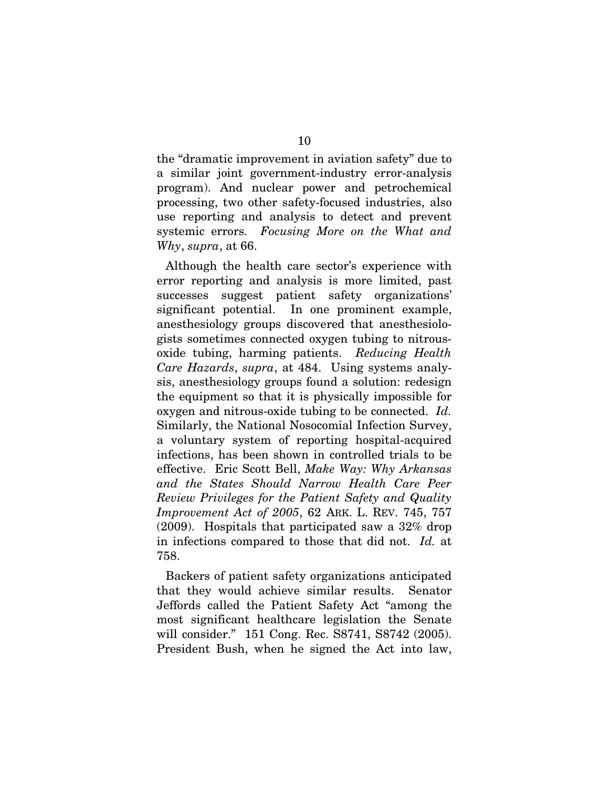the "dramatic improvement in aviation safety" due to a similar joint government-industry error-analysis program). And nuclear power and petrochemical processing, two other safety-focused industries, also use reporting and analysis to detect and prevent systemic errors. *Focusing More on the What and Why*, *supra*, at 66.

Although the health care sector's experience with error reporting and analysis is more limited, past successes suggest patient safety organizations' significant potential. In one prominent example, anesthesiology groups discovered that anesthesiologists sometimes connected oxygen tubing to nitrousoxide tubing, harming patients. *Reducing Health Care Hazards*, *supra*, at 484. Using systems analysis, anesthesiology groups found a solution: redesign the equipment so that it is physically impossible for oxygen and nitrous-oxide tubing to be connected. *Id.* Similarly, the National Nosocomial Infection Survey, a voluntary system of reporting hospital-acquired infections, has been shown in controlled trials to be effective. Eric Scott Bell, *Make Way: Why Arkansas and the States Should Narrow Health Care Peer Review Privileges for the Patient Safety and Quality Improvement Act of 2005*, 62 ARK. L. REV. 745, 757 (2009). Hospitals that participated saw a 32% drop in infections compared to those that did not. *Id.* at 758.

Backers of patient safety organizations anticipated that they would achieve similar results. Senator Jeffords called the Patient Safety Act "among the most significant healthcare legislation the Senate will consider." 151 Cong. Rec. S8741, S8742 (2005). President Bush, when he signed the Act into law,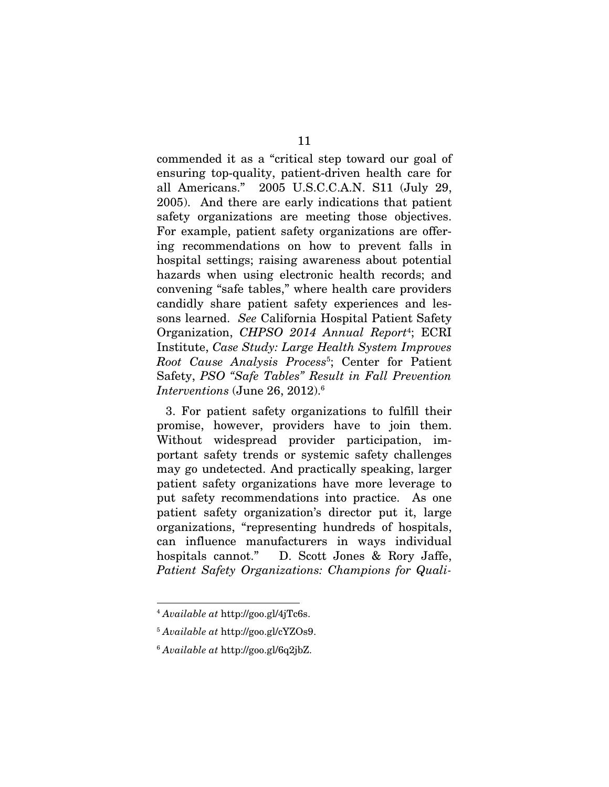commended it as a "critical step toward our goal of ensuring top-quality, patient-driven health care for all Americans." 2005 U.S.C.C.A.N. S11 (July 29, 2005). And there are early indications that patient safety organizations are meeting those objectives. For example, patient safety organizations are offering recommendations on how to prevent falls in hospital settings; raising awareness about potential hazards when using electronic health records; and convening "safe tables," where health care providers candidly share patient safety experiences and lessons learned. *See* California Hospital Patient Safety Organization, *CHPSO 2014 Annual Report*<sup>4</sup> ; ECRI Institute, *Case Study: Large Health System Improves Root Cause Analysis Process*<sup>5</sup> ; Center for Patient Safety, *PSO "Safe Tables" Result in Fall Prevention Interventions* (June 26, 2012).<sup>6</sup>

3. For patient safety organizations to fulfill their promise, however, providers have to join them. Without widespread provider participation, important safety trends or systemic safety challenges may go undetected. And practically speaking, larger patient safety organizations have more leverage to put safety recommendations into practice. As one patient safety organization's director put it, large organizations, "representing hundreds of hospitals, can influence manufacturers in ways individual hospitals cannot." D. Scott Jones & Rory Jaffe, *Patient Safety Organizations: Champions for Quali-*

<sup>4</sup> *Available at* http://goo.gl/4jTc6s.

<sup>5</sup> *Available at* http://goo.gl/cYZOs9.

<sup>6</sup> *Available at* http://goo.gl/6q2jbZ.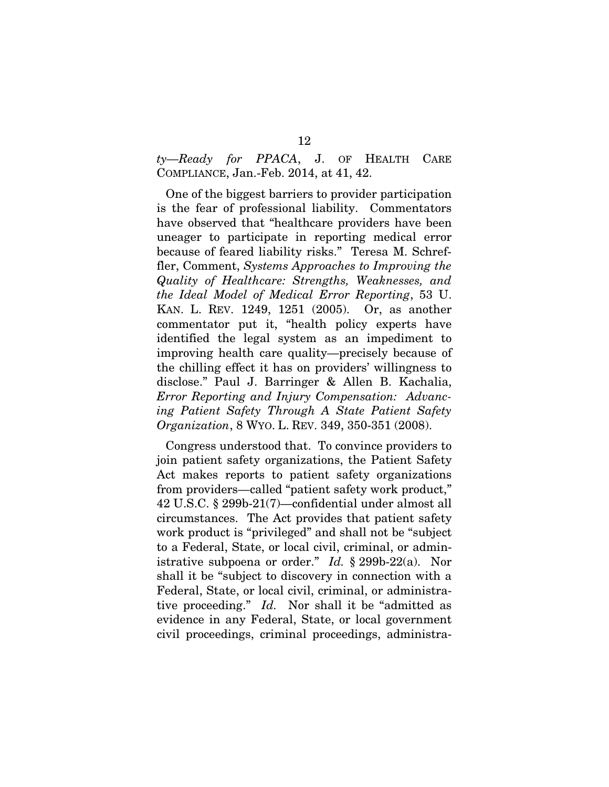*ty—Ready for PPACA*, J. OF HEALTH CARE COMPLIANCE, Jan.-Feb. 2014, at 41, 42.

One of the biggest barriers to provider participation is the fear of professional liability. Commentators have observed that "healthcare providers have been uneager to participate in reporting medical error because of feared liability risks." Teresa M. Schreffler, Comment, *Systems Approaches to Improving the Quality of Healthcare: Strengths, Weaknesses, and the Ideal Model of Medical Error Reporting*, 53 U. KAN. L. REV. 1249, 1251 (2005). Or, as another commentator put it, "health policy experts have identified the legal system as an impediment to improving health care quality—precisely because of the chilling effect it has on providers' willingness to disclose." Paul J. Barringer & Allen B. Kachalia, *Error Reporting and Injury Compensation: Advancing Patient Safety Through A State Patient Safety Organization*, 8 WYO. L. REV. 349, 350-351 (2008).

Congress understood that. To convince providers to join patient safety organizations, the Patient Safety Act makes reports to patient safety organizations from providers—called "patient safety work product," 42 U.S.C. § 299b-21(7)—confidential under almost all circumstances. The Act provides that patient safety work product is "privileged" and shall not be "subject to a Federal, State, or local civil, criminal, or administrative subpoena or order." *Id.* § 299b-22(a). Nor shall it be "subject to discovery in connection with a Federal, State, or local civil, criminal, or administrative proceeding." *Id.* Nor shall it be "admitted as evidence in any Federal, State, or local government civil proceedings, criminal proceedings, administra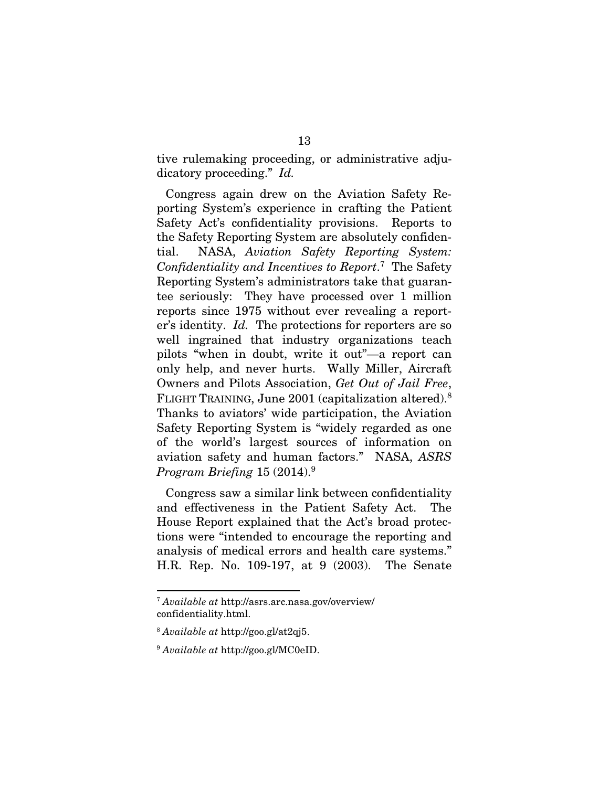tive rulemaking proceeding, or administrative adjudicatory proceeding." *Id.*

Congress again drew on the Aviation Safety Reporting System's experience in crafting the Patient Safety Act's confidentiality provisions. Reports to the Safety Reporting System are absolutely confidential. NASA, *Aviation Safety Reporting System: Confidentiality and Incentives to Report*. <sup>7</sup> The Safety Reporting System's administrators take that guarantee seriously: They have processed over 1 million reports since 1975 without ever revealing a reporter's identity. *Id.* The protections for reporters are so well ingrained that industry organizations teach pilots "when in doubt, write it out"—a report can only help, and never hurts. Wally Miller, Aircraft Owners and Pilots Association, *Get Out of Jail Free*, FLIGHT TRAINING, June 2001 (capitalization altered).<sup>8</sup> Thanks to aviators' wide participation, the Aviation Safety Reporting System is "widely regarded as one of the world's largest sources of information on aviation safety and human factors." NASA, *ASRS Program Briefing* 15 (2014).<sup>9</sup>

Congress saw a similar link between confidentiality and effectiveness in the Patient Safety Act. The House Report explained that the Act's broad protections were "intended to encourage the reporting and analysis of medical errors and health care systems." H.R. Rep. No. 109-197, at 9 (2003). The Senate

<sup>7</sup> *Available at* http://asrs.arc.nasa.gov/overview/ confidentiality.html.

<sup>8</sup> *Available at* http://goo.gl/at2qj5.

<sup>9</sup> *Available at* http://goo.gl/MC0eID.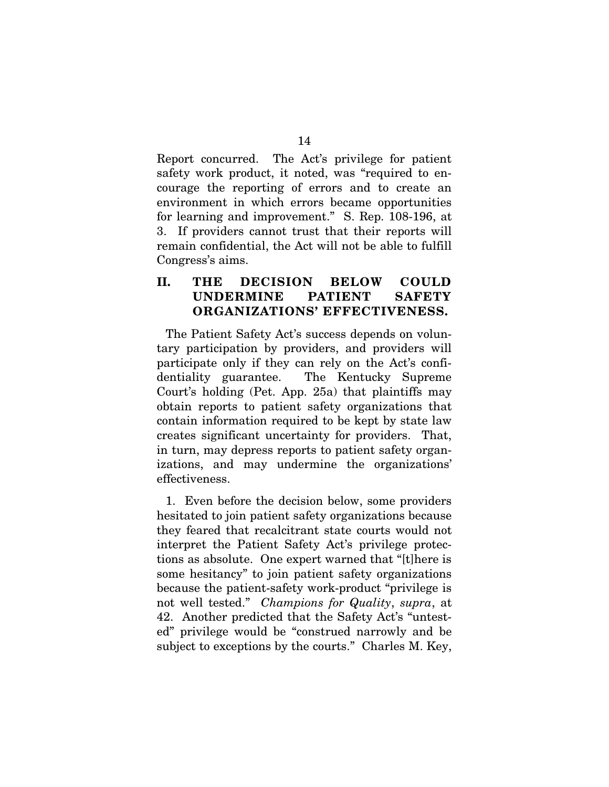Report concurred. The Act's privilege for patient safety work product, it noted, was "required to encourage the reporting of errors and to create an environment in which errors became opportunities for learning and improvement." S. Rep. 108-196, at 3. If providers cannot trust that their reports will remain confidential, the Act will not be able to fulfill Congress's aims.

### II. THE DECISION BELOW COULD UNDERMINE PATIENT SAFETY ORGANIZATIONS' EFFECTIVENESS.

The Patient Safety Act's success depends on voluntary participation by providers, and providers will participate only if they can rely on the Act's confidentiality guarantee. The Kentucky Supreme Court's holding (Pet. App. 25a) that plaintiffs may obtain reports to patient safety organizations that contain information required to be kept by state law creates significant uncertainty for providers. That, in turn, may depress reports to patient safety organizations, and may undermine the organizations' effectiveness.

1. Even before the decision below, some providers hesitated to join patient safety organizations because they feared that recalcitrant state courts would not interpret the Patient Safety Act's privilege protections as absolute. One expert warned that "[t]here is some hesitancy" to join patient safety organizations because the patient-safety work-product "privilege is not well tested." *Champions for Quality*, *supra*, at 42. Another predicted that the Safety Act's "untested" privilege would be "construed narrowly and be subject to exceptions by the courts." Charles M. Key,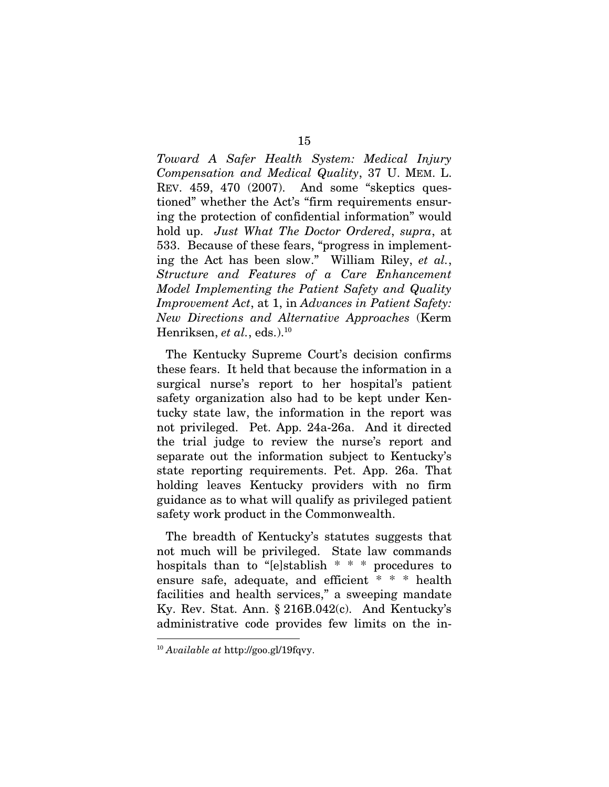*Toward A Safer Health System: Medical Injury Compensation and Medical Quality*, 37 U. MEM. L. REV. 459, 470 (2007). And some "skeptics questioned" whether the Act's "firm requirements ensuring the protection of confidential information" would hold up. *Just What The Doctor Ordered*, *supra*, at 533. Because of these fears, "progress in implementing the Act has been slow." William Riley, *et al.*, *Structure and Features of a Care Enhancement Model Implementing the Patient Safety and Quality Improvement Act*, at 1, in *Advances in Patient Safety: New Directions and Alternative Approaches* (Kerm Henriksen, *et al.*, eds.).<sup>10</sup>

The Kentucky Supreme Court's decision confirms these fears. It held that because the information in a surgical nurse's report to her hospital's patient safety organization also had to be kept under Kentucky state law, the information in the report was not privileged. Pet. App. 24a-26a. And it directed the trial judge to review the nurse's report and separate out the information subject to Kentucky's state reporting requirements. Pet. App. 26a. That holding leaves Kentucky providers with no firm guidance as to what will qualify as privileged patient safety work product in the Commonwealth.

The breadth of Kentucky's statutes suggests that not much will be privileged. State law commands hospitals than to "[e]stablish \* \* \* procedures to ensure safe, adequate, and efficient \* \* \* health facilities and health services," a sweeping mandate Ky. Rev. Stat. Ann. § 216B.042(c). And Kentucky's administrative code provides few limits on the in-

<sup>10</sup> *Available at* http://goo.gl/19fqvy.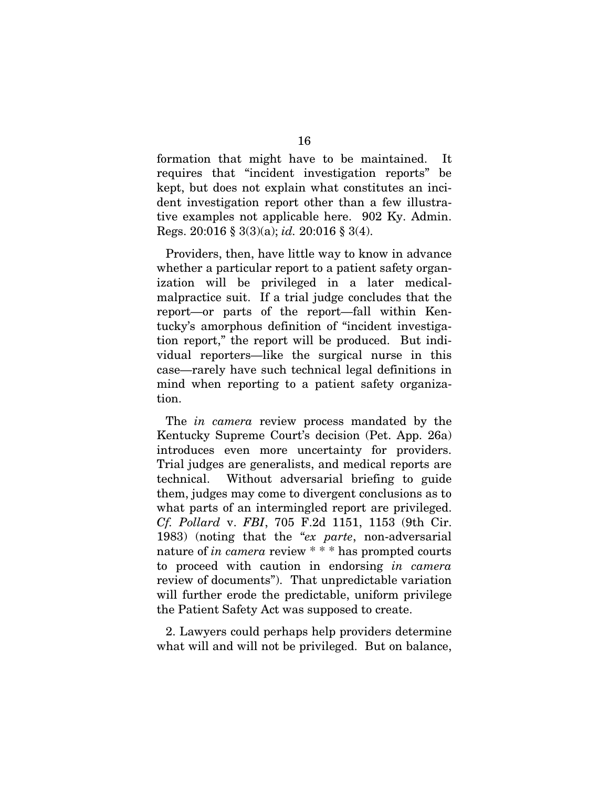formation that might have to be maintained. It requires that "incident investigation reports" be kept, but does not explain what constitutes an incident investigation report other than a few illustrative examples not applicable here. 902 Ky. Admin. Regs. 20:016 § 3(3)(a); *id.* 20:016 § 3(4).

Providers, then, have little way to know in advance whether a particular report to a patient safety organization will be privileged in a later medicalmalpractice suit. If a trial judge concludes that the report—or parts of the report—fall within Kentucky's amorphous definition of "incident investigation report," the report will be produced. But individual reporters—like the surgical nurse in this case—rarely have such technical legal definitions in mind when reporting to a patient safety organization.

The *in camera* review process mandated by the Kentucky Supreme Court's decision (Pet. App. 26a) introduces even more uncertainty for providers. Trial judges are generalists, and medical reports are technical. Without adversarial briefing to guide them, judges may come to divergent conclusions as to what parts of an intermingled report are privileged. *Cf. Pollard* v. *FBI*, 705 F.2d 1151, 1153 (9th Cir. 1983) (noting that the "*ex parte*, non-adversarial nature of *in camera* review \* \* \* has prompted courts to proceed with caution in endorsing *in camera* review of documents"). That unpredictable variation will further erode the predictable, uniform privilege the Patient Safety Act was supposed to create.

2. Lawyers could perhaps help providers determine what will and will not be privileged. But on balance,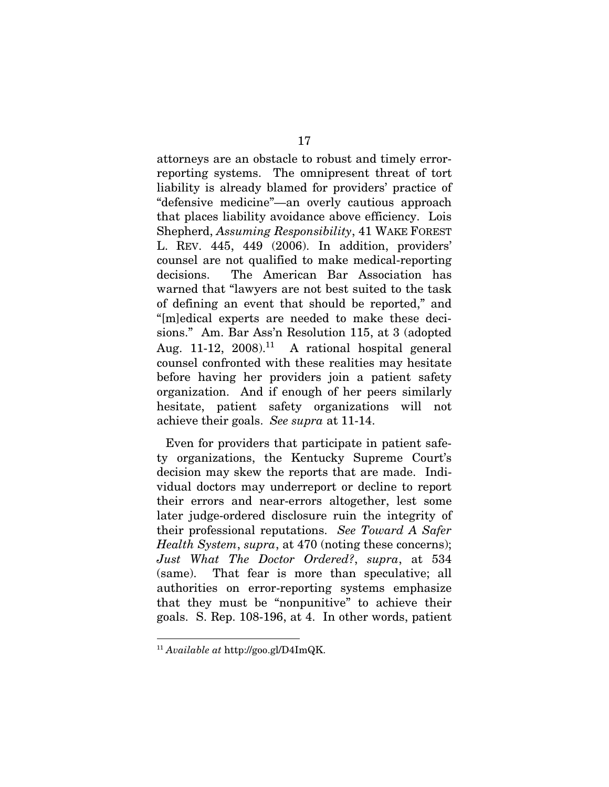attorneys are an obstacle to robust and timely errorreporting systems. The omnipresent threat of tort liability is already blamed for providers' practice of "defensive medicine"—an overly cautious approach that places liability avoidance above efficiency. Lois Shepherd, *Assuming Responsibility*, 41 WAKE FOREST L. REV. 445, 449 (2006). In addition, providers' counsel are not qualified to make medical-reporting decisions. The American Bar Association has warned that "lawyers are not best suited to the task of defining an event that should be reported," and "[m]edical experts are needed to make these decisions." Am. Bar Ass'n Resolution 115, at 3 (adopted Aug. 11-12,  $2008$ <sup>11</sup> A rational hospital general counsel confronted with these realities may hesitate before having her providers join a patient safety organization. And if enough of her peers similarly hesitate, patient safety organizations will not achieve their goals. *See supra* at 11-14.

Even for providers that participate in patient safety organizations, the Kentucky Supreme Court's decision may skew the reports that are made. Individual doctors may underreport or decline to report their errors and near-errors altogether, lest some later judge-ordered disclosure ruin the integrity of their professional reputations. *See Toward A Safer Health System*, *supra*, at 470 (noting these concerns); *Just What The Doctor Ordered?*, *supra*, at 534 (same). That fear is more than speculative; all authorities on error-reporting systems emphasize that they must be "nonpunitive" to achieve their goals. S. Rep. 108-196, at 4. In other words, patient

<sup>11</sup> *Available at* http://goo.gl/D4ImQK.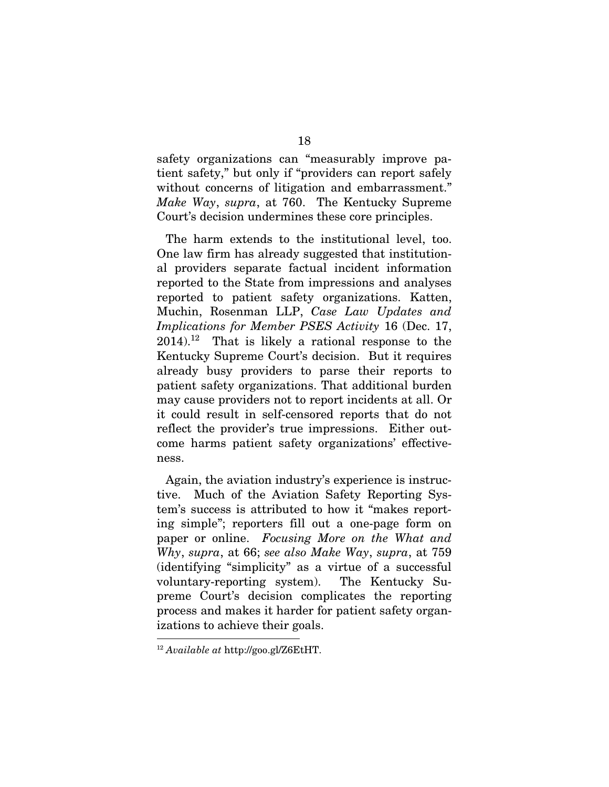safety organizations can "measurably improve patient safety," but only if "providers can report safely without concerns of litigation and embarrassment." *Make Way*, *supra*, at 760. The Kentucky Supreme Court's decision undermines these core principles.

The harm extends to the institutional level, too. One law firm has already suggested that institutional providers separate factual incident information reported to the State from impressions and analyses reported to patient safety organizations. Katten, Muchin, Rosenman LLP, *Case Law Updates and Implications for Member PSES Activity* 16 (Dec. 17,  $2014$ .<sup>12</sup> That is likely a rational response to the Kentucky Supreme Court's decision. But it requires already busy providers to parse their reports to patient safety organizations. That additional burden may cause providers not to report incidents at all. Or it could result in self-censored reports that do not reflect the provider's true impressions. Either outcome harms patient safety organizations' effectiveness.

Again, the aviation industry's experience is instructive. Much of the Aviation Safety Reporting System's success is attributed to how it "makes reporting simple"; reporters fill out a one-page form on paper or online. *Focusing More on the What and Why*, *supra*, at 66; *see also Make Way*, *supra*, at 759 (identifying "simplicity" as a virtue of a successful voluntary-reporting system). The Kentucky Supreme Court's decision complicates the reporting process and makes it harder for patient safety organizations to achieve their goals.

<sup>12</sup> *Available at* http://goo.gl/Z6EtHT.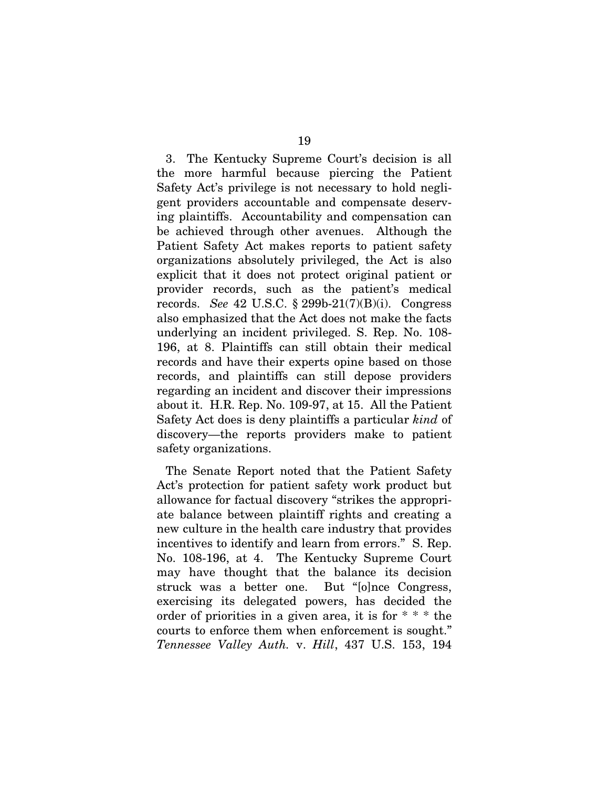3. The Kentucky Supreme Court's decision is all the more harmful because piercing the Patient Safety Act's privilege is not necessary to hold negligent providers accountable and compensate deserving plaintiffs. Accountability and compensation can be achieved through other avenues. Although the Patient Safety Act makes reports to patient safety organizations absolutely privileged, the Act is also explicit that it does not protect original patient or provider records, such as the patient's medical records. *See* 42 U.S.C. § 299b-21(7)(B)(i). Congress also emphasized that the Act does not make the facts underlying an incident privileged. S. Rep. No. 108- 196, at 8. Plaintiffs can still obtain their medical records and have their experts opine based on those records, and plaintiffs can still depose providers regarding an incident and discover their impressions about it. H.R. Rep. No. 109-97, at 15. All the Patient Safety Act does is deny plaintiffs a particular *kind* of discovery—the reports providers make to patient safety organizations.

The Senate Report noted that the Patient Safety Act's protection for patient safety work product but allowance for factual discovery "strikes the appropriate balance between plaintiff rights and creating a new culture in the health care industry that provides incentives to identify and learn from errors." S. Rep. No. 108-196, at 4. The Kentucky Supreme Court may have thought that the balance its decision struck was a better one. But "[o]nce Congress, exercising its delegated powers, has decided the order of priorities in a given area, it is for \* \* \* the courts to enforce them when enforcement is sought." *Tennessee Valley Auth.* v. *Hill*, 437 U.S. 153, 194